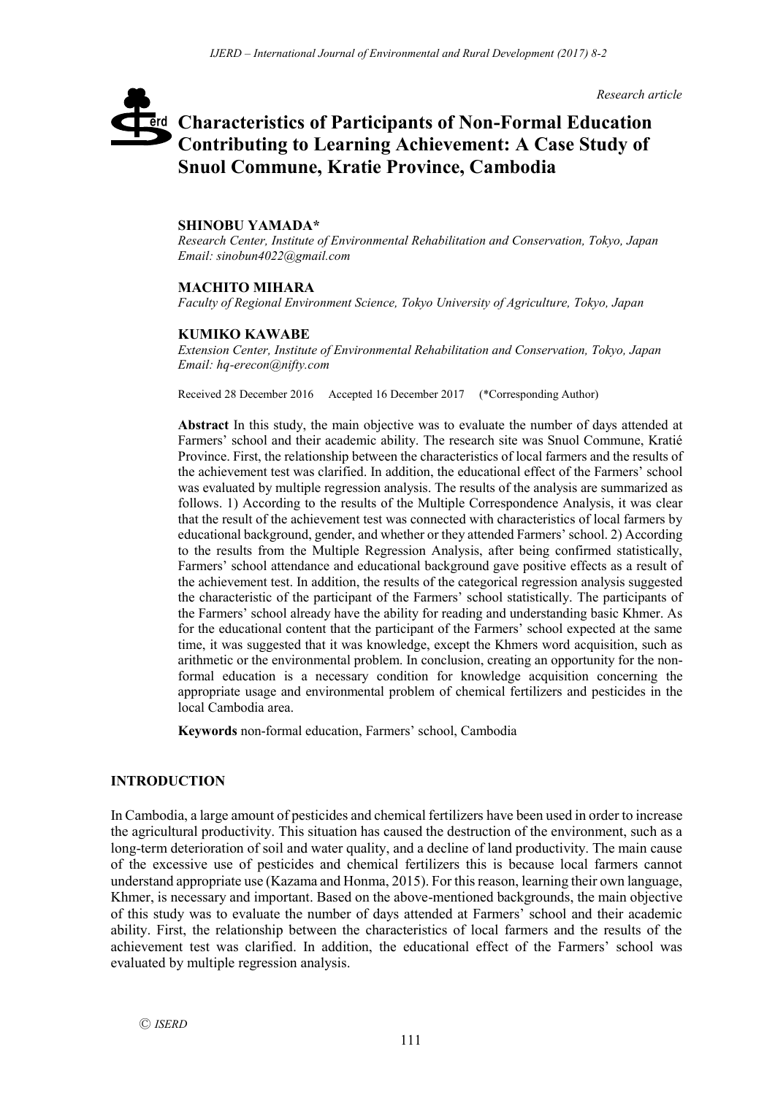*Research article*

# **Characteristics of Participants of Non-Formal Education**  erd **Contributing to Learning Achievement: A Case Study of Snuol Commune, Kratie Province, Cambodia**

## **SHINOBU YAMADA\***

*Research Center, Institute of Environmental Rehabilitation and Conservation, Tokyo, Japan Email: sinobun4022@gmail.com*

## **MACHITO MIHARA**

*Faculty of Regional Environment Science, Tokyo University of Agriculture, Tokyo, Japan*

## **KUMIKO KAWABE**

*Extension Center, Institute of Environmental Rehabilitation and Conservation, Tokyo, Japan Email: hq-erecon@nifty.com*

Received 28 December 2016 Accepted 16 December 2017 (\*Corresponding Author)

**Abstract** In this study, the main objective was to evaluate the number of days attended at Farmers' school and their academic ability. The research site was Snuol Commune, Kratié Province. First, the relationship between the characteristics of local farmers and the results of the achievement test was clarified. In addition, the educational effect of the Farmers' school was evaluated by multiple regression analysis. The results of the analysis are summarized as follows. 1) According to the results of the Multiple Correspondence Analysis, it was clear that the result of the achievement test was connected with characteristics of local farmers by educational background, gender, and whether or they attended Farmers' school. 2) According to the results from the Multiple Regression Analysis, after being confirmed statistically, Farmers' school attendance and educational background gave positive effects as a result of the achievement test. In addition, the results of the categorical regression analysis suggested the characteristic of the participant of the Farmers' school statistically. The participants of the Farmers' school already have the ability for reading and understanding basic Khmer. As for the educational content that the participant of the Farmers' school expected at the same time, it was suggested that it was knowledge, except the Khmers word acquisition, such as arithmetic or the environmental problem. In conclusion, creating an opportunity for the nonformal education is a necessary condition for knowledge acquisition concerning the appropriate usage and environmental problem of chemical fertilizers and pesticides in the local Cambodia area.

**Keywords** non-formal education, Farmers' school, Cambodia

## **INTRODUCTION**

In Cambodia, a large amount of pesticides and chemical fertilizers have been used in order to increase the agricultural productivity. This situation has caused the destruction of the environment, such as a long-term deterioration of soil and water quality, and a decline of land productivity. The main cause of the excessive use of pesticides and chemical fertilizers this is because local farmers cannot understand appropriate use (Kazama and Honma, 2015). For this reason, learning their own language, Khmer, is necessary and important. Based on the above-mentioned backgrounds, the main objective of this study was to evaluate the number of days attended at Farmers' school and their academic ability. First, the relationship between the characteristics of local farmers and the results of the achievement test was clarified. In addition, the educational effect of the Farmers' school was evaluated by multiple regression analysis.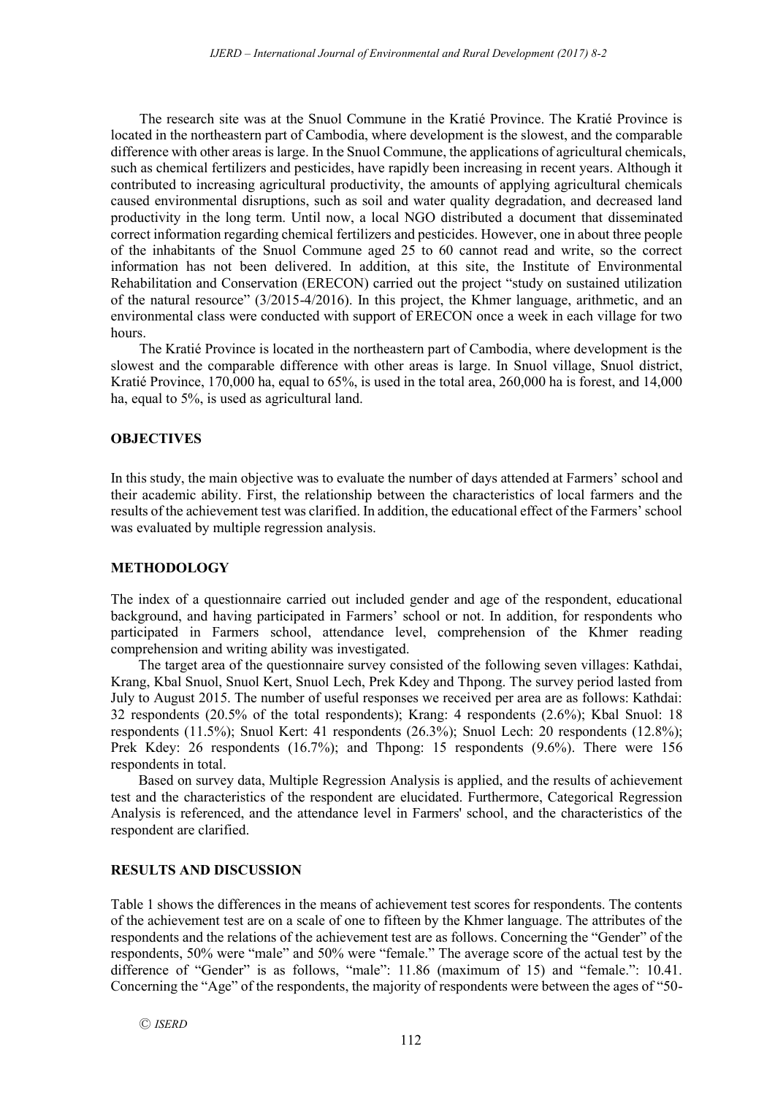The research site was at the Snuol Commune in the Kratié Province. The Kratié Province is located in the northeastern part of Cambodia, where development is the slowest, and the comparable difference with other areas is large. In the Snuol Commune, the applications of agricultural chemicals, such as chemical fertilizers and pesticides, have rapidly been increasing in recent years. Although it contributed to increasing agricultural productivity, the amounts of applying agricultural chemicals caused environmental disruptions, such as soil and water quality degradation, and decreased land productivity in the long term. Until now, a local NGO distributed a document that disseminated correct information regarding chemical fertilizers and pesticides. However, one in about three people of the inhabitants of the Snuol Commune aged 25 to 60 cannot read and write, so the correct information has not been delivered. In addition, at this site, the Institute of Environmental Rehabilitation and Conservation (ERECON) carried out the project "study on sustained utilization of the natural resource" (3/2015-4/2016). In this project, the Khmer language, arithmetic, and an environmental class were conducted with support of ERECON once a week in each village for two hours.

The Kratié Province is located in the northeastern part of Cambodia, where development is the slowest and the comparable difference with other areas is large. In Snuol village, Snuol district, Kratié Province, 170,000 ha, equal to 65%, is used in the total area, 260,000 ha is forest, and 14,000 ha, equal to 5%, is used as agricultural land.

## **OBJECTIVES**

In this study, the main objective was to evaluate the number of days attended at Farmers' school and their academic ability. First, the relationship between the characteristics of local farmers and the results of the achievement test was clarified. In addition, the educational effect of the Farmers' school was evaluated by multiple regression analysis.

## **METHODOLOGY**

The index of a questionnaire carried out included gender and age of the respondent, educational background, and having participated in Farmers' school or not. In addition, for respondents who participated in Farmers school, attendance level, comprehension of the Khmer reading comprehension and writing ability was investigated.

The target area of the questionnaire survey consisted of the following seven villages: Kathdai, Krang, Kbal Snuol, Snuol Kert, Snuol Lech, Prek Kdey and Thpong. The survey period lasted from July to August 2015. The number of useful responses we received per area are as follows: Kathdai: 32 respondents (20.5% of the total respondents); Krang: 4 respondents (2.6%); Kbal Snuol: 18 respondents (11.5%); Snuol Kert: 41 respondents (26.3%); Snuol Lech: 20 respondents (12.8%); Prek Kdey: 26 respondents (16.7%); and Thpong: 15 respondents (9.6%). There were 156 respondents in total.

Based on survey data, Multiple Regression Analysis is applied, and the results of achievement test and the characteristics of the respondent are elucidated. Furthermore, Categorical Regression Analysis is referenced, and the attendance level in Farmers' school, and the characteristics of the respondent are clarified.

## **RESULTS AND DISCUSSION**

Table 1 shows the differences in the means of achievement test scores for respondents. The contents of the achievement test are on a scale of one to fifteen by the Khmer language. The attributes of the respondents and the relations of the achievement test are as follows. Concerning the "Gender" of the respondents, 50% were "male" and 50% were "female." The average score of the actual test by the difference of "Gender" is as follows, "male": 11.86 (maximum of 15) and "female.": 10.41. Concerning the "Age" of the respondents, the majority of respondents were between the ages of "50-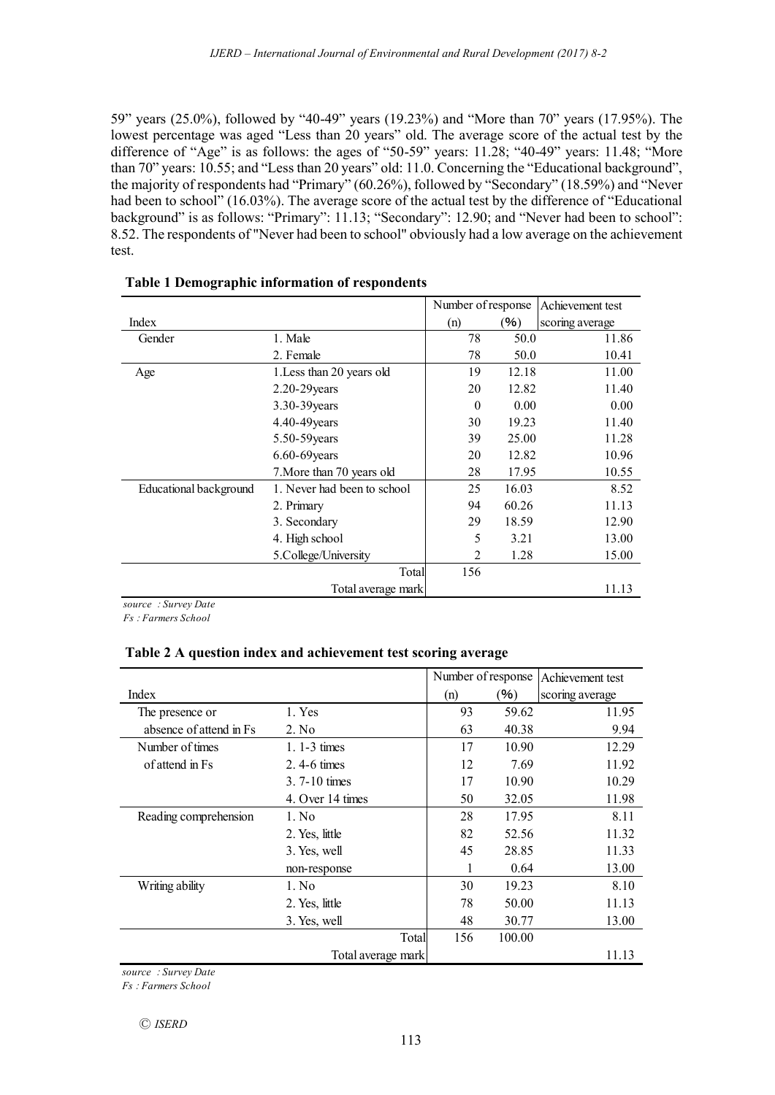59" years (25.0%), followed by "40-49" years (19.23%) and "More than 70" years (17.95%). The lowest percentage was aged "Less than 20 years" old. The average score of the actual test by the difference of "Age" is as follows: the ages of "50-59" years: 11.28; "40-49" years: 11.48; "More than 70" years: 10.55; and "Less than 20 years" old: 11.0. Concerning the "Educational background", the majority of respondents had "Primary" (60.26%), followed by "Secondary" (18.59%) and "Never had been to school" (16.03%). The average score of the actual test by the difference of "Educational" background" is as follows: "Primary": 11.13; "Secondary": 12.90; and "Never had been to school": 8.52. The respondents of "Never had been to school" obviously had a low average on the achievement test.

|                        |                             | Number of response |       | Achievement test |  |
|------------------------|-----------------------------|--------------------|-------|------------------|--|
| Index                  |                             | (n)                | (%)   | scoring average  |  |
| Gender                 | 1. Male                     | 78                 | 50.0  | 11.86            |  |
|                        | 2. Female                   | 78                 | 50.0  | 10.41            |  |
| Age                    | 1. Less than 20 years old   | 19                 | 12.18 | 11.00            |  |
|                        | $2.20 - 29$ years           | 20                 | 12.82 | 11.40            |  |
|                        | 3.30-39 years               | $\theta$           | 0.00  | 0.00             |  |
|                        | 4.40-49 years               | 30                 | 19.23 | 11.40            |  |
|                        | $5.50 - 59$ years           | 39                 | 25.00 | 11.28            |  |
|                        | $6.60 - 69$ years           | 20                 | 12.82 | 10.96            |  |
|                        | 7. More than 70 years old   | 28                 | 17.95 | 10.55            |  |
| Educational background | 1. Never had been to school | 25                 | 16.03 | 8.52             |  |
|                        | 2. Primary                  | 94                 | 60.26 | 11.13            |  |
|                        | 3. Secondary                | 29                 | 18.59 | 12.90            |  |
|                        | 4. High school              | 5                  | 3.21  | 13.00            |  |
|                        | 5.College/University        | 2                  | 1.28  | 15.00            |  |
|                        | Total                       | 156                |       |                  |  |
|                        | Total average mark          |                    |       | 11.13            |  |

## **Table 1 Demographic information of respondents**

*source* : *Survey Date Fs* : *Farmers School*

## **Table 2 A question index and achievement test scoring average**

|                          |                         |       | Number of response |               | Achievement test |  |
|--------------------------|-------------------------|-------|--------------------|---------------|------------------|--|
| Index                    |                         |       | (n)                | $\frac{9}{6}$ | scoring average  |  |
| The presence or          | 1. Yes                  |       | 93                 | 59.62         | 11.95            |  |
| absence of attend in Fs. | 2. No                   |       | 63                 | 40.38         | 9.94             |  |
| Number of times          | 1. $1-3$ times          |       | 17                 | 10.90         | 12.29            |  |
| of attend in Fs.         | $2.4-6 \tmtext{ times}$ |       | 12                 | 7.69          | 11.92            |  |
|                          | $3.7 - 10$ times        |       | 17                 | 10.90         | 10.29            |  |
|                          | 4. Over 14 times        |       | 50                 | 32.05         | 11.98            |  |
| Reading comprehension    | 1. No                   |       | 28                 | 17.95         | 8.11             |  |
|                          | 2. Yes, little          |       | 82                 | 52.56         | 11.32            |  |
|                          | 3. Yes, well            |       | 45                 | 28.85         | 11.33            |  |
|                          | non-response            |       |                    | 0.64          | 13.00            |  |
| Writing ability          | 1. No                   |       | 30                 | 19.23         | 8.10             |  |
|                          | 2. Yes, little          |       | 78                 | 50.00         | 11.13            |  |
|                          | 3. Yes, well            |       | 48                 | 30.77         | 13.00            |  |
|                          |                         | Total | 156                | 100.00        |                  |  |
|                          | Total average mark      |       |                    |               | 11.13            |  |

*source* : *Survey Date*

*Fs* : *Farmers School*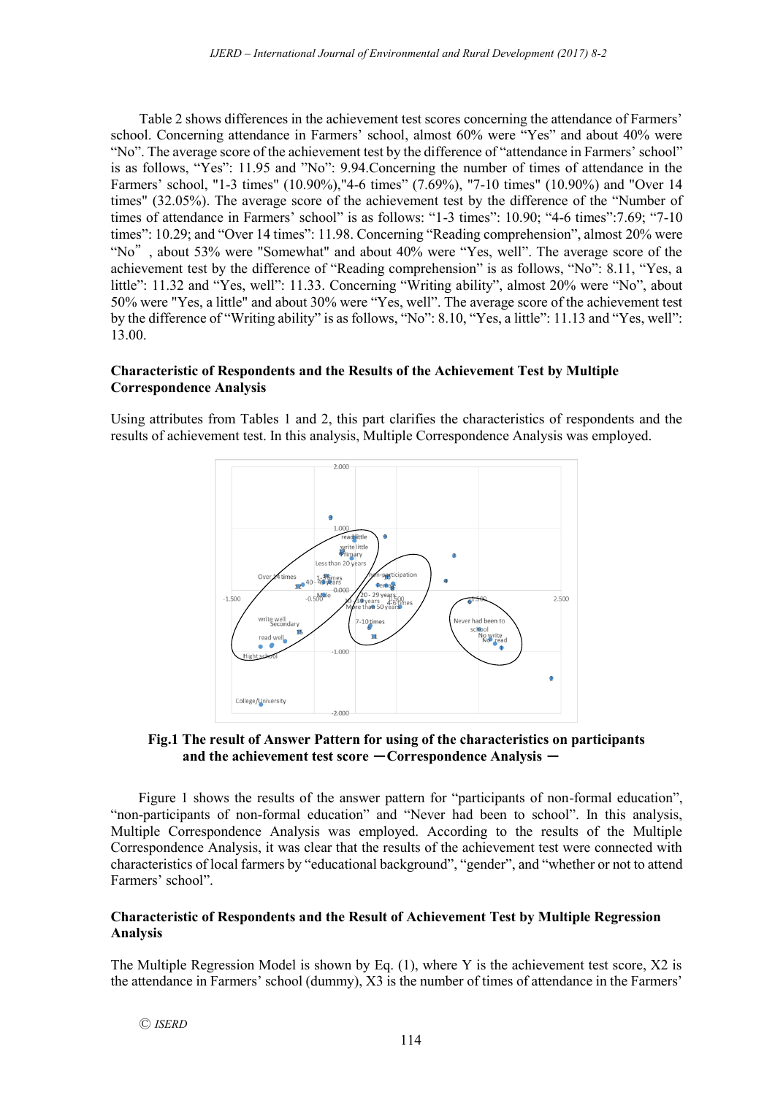Table 2 shows differences in the achievement test scores concerning the attendance of Farmers' school. Concerning attendance in Farmers' school, almost 60% were "Yes" and about 40% were "No". The average score of the achievement test by the difference of "attendance in Farmers' school" is as follows, "Yes": 11.95 and "No": 9.94.Concerning the number of times of attendance in the Farmers' school, "1-3 times" (10.90%),"4-6 times" (7.69%), "7-10 times" (10.90%) and "Over 14 times" (32.05%). The average score of the achievement test by the difference of the "Number of times of attendance in Farmers' school" is as follows: "1-3 times": 10.90; "4-6 times": 7.69; "7-10 times": 10.29; and "Over 14 times": 11.98. Concerning "Reading comprehension", almost 20% were "No", about 53% were "Somewhat" and about 40% were "Yes, well". The average score of the achievement test by the difference of "Reading comprehension" is as follows, "No": 8.11, "Yes, a little": 11.32 and "Yes, well": 11.33. Concerning "Writing ability", almost 20% were "No", about 50% were "Yes, a little" and about 30% were "Yes, well". The average score of the achievement test by the difference of "Writing ability" is as follows, "No": 8.10, "Yes, a little": 11.13 and "Yes, well": 13.00.

## **Characteristic of Respondents and the Results of the Achievement Test by Multiple Correspondence Analysis**

Using attributes from Tables 1 and 2, this part clarifies the characteristics of respondents and the results of achievement test. In this analysis, Multiple Correspondence Analysis was employed.



## **Fig.1 The result of Answer Pattern for using of the characteristics on participants and the achievement test score – Correspondence Analysis –**

Figure 1 shows the results of the answer pattern for "participants of non-formal education", "non-participants of non-formal education" and "Never had been to school". In this analysis, Multiple Correspondence Analysis was employed. According to the results of the Multiple Correspondence Analysis, it was clear that the results of the achievement test were connected with characteristics of local farmers by "educational background", "gender", and "whether or not to attend Farmers' school".

## **Characteristic of Respondents and the Result of Achievement Test by Multiple Regression Analysis**

The Multiple Regression Model is shown by Eq. (1), where Y is the achievement test score, X2 is the attendance in Farmers' school (dummy), X3 is the number of times of attendance in the Farmers'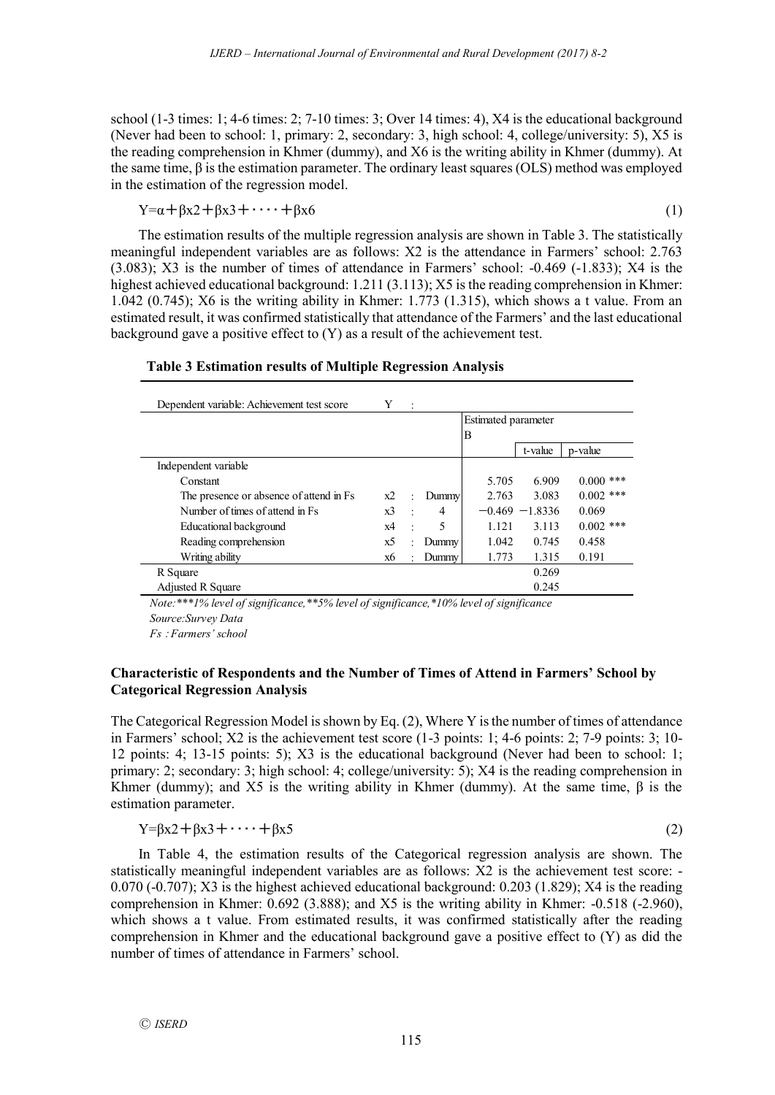school (1-3 times: 1; 4-6 times: 2; 7-10 times: 3; Over 14 times: 4), X4 is the educational background (Never had been to school: 1, primary: 2, secondary: 3, high school: 4, college/university: 5), X5 is the reading comprehension in Khmer (dummy), and X6 is the writing ability in Khmer (dummy). At the same time, β is the estimation parameter. The ordinary least squares (OLS) method was employed in the estimation of the regression model.

$$
Y = \alpha + \beta x^2 + \beta x^3 + \dots + \beta x^6 \tag{1}
$$

The estimation results of the multiple regression analysis are shown in Table 3. The statistically meaningful independent variables are as follows: X2 is the attendance in Farmers' school: 2.763 (3.083); X3 is the number of times of attendance in Farmers' school: -0.469 (-1.833); X4 is the highest achieved educational background: 1.211 (3.113); X5 is the reading comprehension in Khmer: 1.042 (0.745); X6 is the writing ability in Khmer: 1.773 (1.315), which shows a t value. From an estimated result, it was confirmed statistically that attendance of the Farmers' and the last educational background gave a positive effect to (Y) as a result of the achievement test.

## **Table 3 Estimation results of Multiple Regression Analysis**

| Dependent variable: Achievement test score | Y  | $\cdot$              |                |                     |                   |             |
|--------------------------------------------|----|----------------------|----------------|---------------------|-------------------|-------------|
|                                            |    |                      |                | Estimated parameter |                   |             |
|                                            |    |                      |                | B                   |                   |             |
|                                            |    |                      |                |                     | t-value           | p-value     |
| Independent variable                       |    |                      |                |                     |                   |             |
| Constant                                   |    |                      |                | 5.705               | 6.909             | $0.000$ *** |
| The presence or absence of attend in Fs    | x2 | ÷                    | <b>Dummy</b>   | 2.763               | 3.083             | $0.002$ *** |
| Number of times of attend in Fs.           | x3 | ÷                    | $\overline{4}$ |                     | $-0.469 - 1.8336$ | 0.069       |
| Educational background                     | x4 | $\ddot{\phantom{a}}$ | 5              | 1.121               | 3.113             | $0.002$ *** |
| Reading comprehension                      | x5 | ÷                    | Dummy          | 1.042               | 0.745             | 0.458       |
| Writing ability                            | х6 | ÷                    | Dummy          | 1.773               | 1.315             | 0.191       |
| R Square                                   |    |                      |                |                     | 0.269             |             |
| <b>Adjusted R Square</b>                   |    |                      |                |                     | 0.245             |             |

*Note:\*\*\*1% level of significance,\*\*5% level of significance,\*10% level of significance Source:Survey Data*

*Fs* :*Farmers' school*

## **Characteristic of Respondents and the Number of Times of Attend in Farmers' School by Categorical Regression Analysis**

The Categorical Regression Model is shown by Eq. (2), Where Y is the number of times of attendance in Farmers' school; X2 is the achievement test score (1-3 points: 1; 4-6 points: 2; 7-9 points: 3; 10- 12 points: 4; 13-15 points: 5); X3 is the educational background (Never had been to school: 1; primary: 2; secondary: 3; high school: 4; college/university: 5); X4 is the reading comprehension in Khmer (dummy); and X5 is the writing ability in Khmer (dummy). At the same time,  $\beta$  is the estimation parameter.

$$
Y = \beta x^2 + \beta x^3 + \dots + \beta x^5 \tag{2}
$$

In Table 4, the estimation results of the Categorical regression analysis are shown. The statistically meaningful independent variables are as follows: X2 is the achievement test score: - 0.070 (-0.707); X3 is the highest achieved educational background: 0.203 (1.829); X4 is the reading comprehension in Khmer: 0.692 (3.888); and X5 is the writing ability in Khmer: -0.518 (-2.960), which shows a t value. From estimated results, it was confirmed statistically after the reading comprehension in Khmer and the educational background gave a positive effect to (Y) as did the number of times of attendance in Farmers' school.